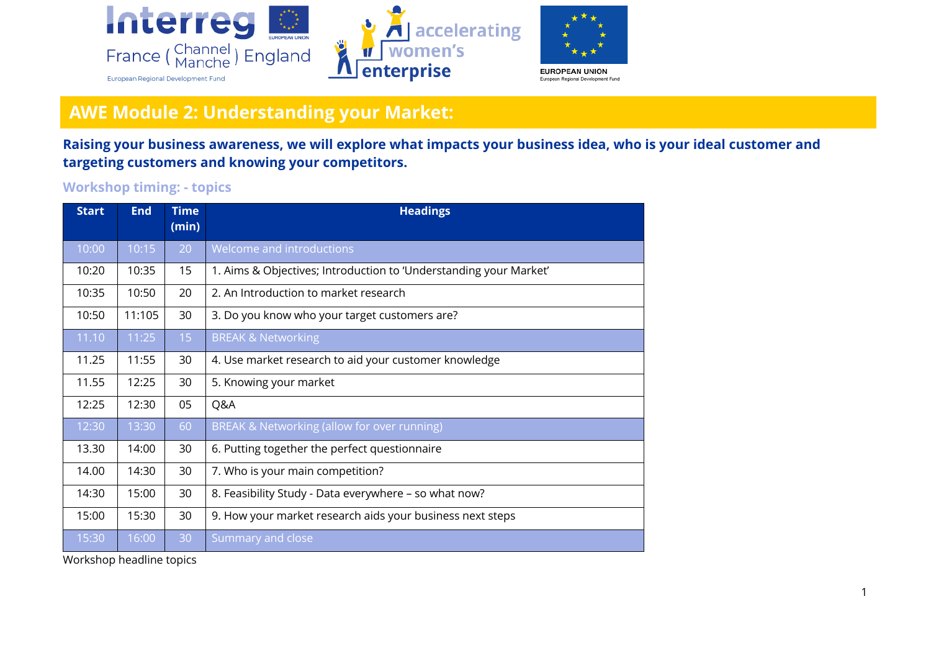

## **AWE Module 2: Understanding your Market:**

**Raising your business awareness, we will explore what impacts your business idea, who is your ideal customer and targeting customers and knowing your competitors.**

## **Workshop timing: - topics**

| <b>Start</b> | <b>End</b> | <b>Time</b><br>(min) | <b>Headings</b>                                                   |
|--------------|------------|----------------------|-------------------------------------------------------------------|
| 10:00        | 10:15      | 20                   | Welcome and introductions                                         |
| 10:20        | 10:35      | 15                   | 1. Aims & Objectives; Introduction to 'Understanding your Market' |
| 10:35        | 10:50      | 20                   | 2. An Introduction to market research                             |
| 10:50        | 11:105     | 30                   | 3. Do you know who your target customers are?                     |
| 11.10        | 11:25      | 15                   | <b>BREAK &amp; Networking</b>                                     |
| 11.25        | 11:55      | 30                   | 4. Use market research to aid your customer knowledge             |
| 11.55        | 12:25      | 30                   | 5. Knowing your market                                            |
| 12:25        | 12:30      | 05                   | Q&A                                                               |
| 12:30        | 13:30      | 60                   | BREAK & Networking (allow for over running)                       |
| 13.30        | 14:00      | 30                   | 6. Putting together the perfect questionnaire                     |
| 14.00        | 14:30      | 30                   | 7. Who is your main competition?                                  |
| 14:30        | 15:00      | 30                   | 8. Feasibility Study - Data everywhere - so what now?             |
| 15:00        | 15:30      | 30                   | 9. How your market research aids your business next steps         |
| 15:30        | 16:00      | 30                   | Summary and close                                                 |

Workshop headline topics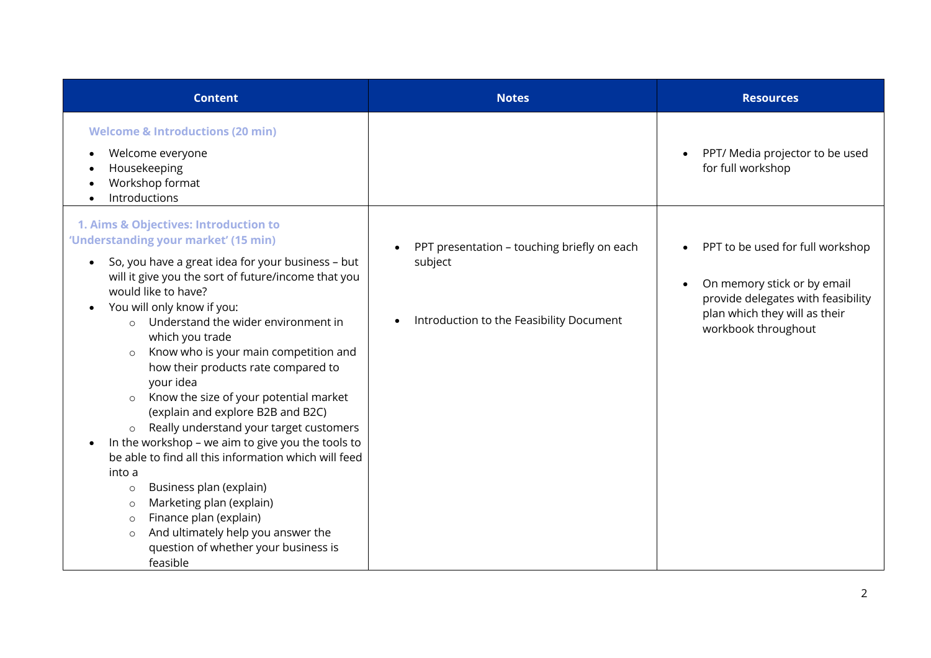| <b>Content</b>                                                                                                                                                                                                                                                                                                                                                                                                                                                                                                                                                                                                                                                                                                                                                                                                                                                                                      | <b>Notes</b>                                                                                       | <b>Resources</b>                                                                                                                                              |
|-----------------------------------------------------------------------------------------------------------------------------------------------------------------------------------------------------------------------------------------------------------------------------------------------------------------------------------------------------------------------------------------------------------------------------------------------------------------------------------------------------------------------------------------------------------------------------------------------------------------------------------------------------------------------------------------------------------------------------------------------------------------------------------------------------------------------------------------------------------------------------------------------------|----------------------------------------------------------------------------------------------------|---------------------------------------------------------------------------------------------------------------------------------------------------------------|
| <b>Welcome &amp; Introductions (20 min)</b><br>Welcome everyone<br>Housekeeping<br>Workshop format<br>Introductions                                                                                                                                                                                                                                                                                                                                                                                                                                                                                                                                                                                                                                                                                                                                                                                 |                                                                                                    | PPT/ Media projector to be used<br>for full workshop                                                                                                          |
| 1. Aims & Objectives: Introduction to<br>'Understanding your market' (15 min)<br>So, you have a great idea for your business - but<br>will it give you the sort of future/income that you<br>would like to have?<br>You will only know if you:<br>Understand the wider environment in<br>which you trade<br>Know who is your main competition and<br>$\circ$<br>how their products rate compared to<br>your idea<br>Know the size of your potential market<br>(explain and explore B2B and B2C)<br>Really understand your target customers<br>$\circ$<br>In the workshop - we aim to give you the tools to<br>be able to find all this information which will feed<br>into a<br>Business plan (explain)<br>$\circ$<br>Marketing plan (explain)<br>$\circ$<br>Finance plan (explain)<br>$\circ$<br>And ultimately help you answer the<br>$\circ$<br>question of whether your business is<br>feasible | PPT presentation - touching briefly on each<br>subject<br>Introduction to the Feasibility Document | PPT to be used for full workshop<br>On memory stick or by email<br>provide delegates with feasibility<br>plan which they will as their<br>workbook throughout |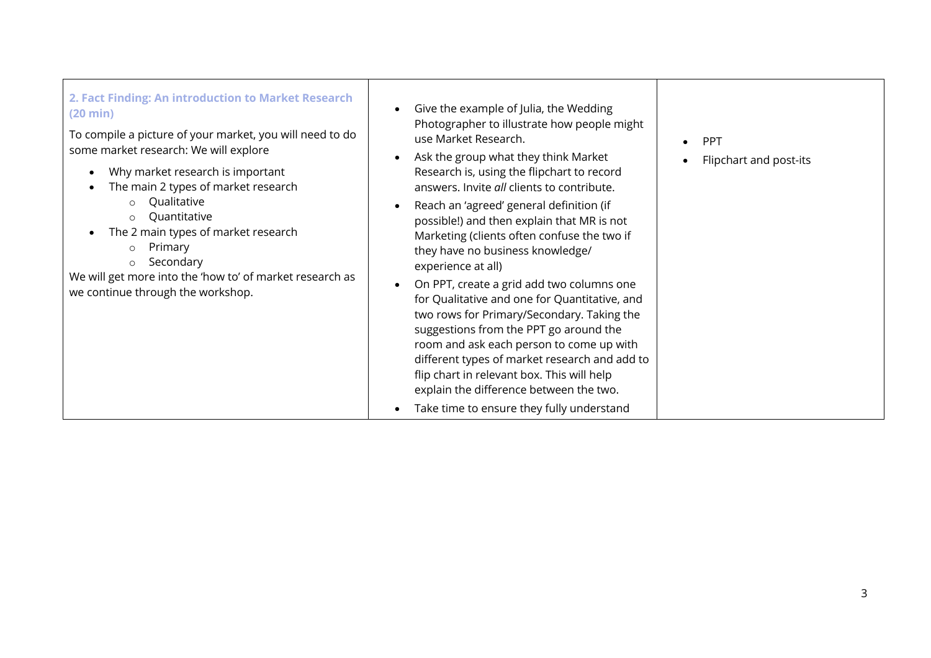| 2. Fact Finding: An introduction to Market Research<br>$(20 \text{ min})$<br>To compile a picture of your market, you will need to do<br>some market research: We will explore<br>Why market research is important<br>$\bullet$<br>The main 2 types of market research<br>Qualitative<br>Quantitative<br>$\circ$<br>The 2 main types of market research<br>Primary<br>$\circ$<br>Secondary<br>$\circ$<br>We will get more into the 'how to' of market research as<br>we continue through the workshop. | Give the example of Julia, the Wedding<br>Photographer to illustrate how people might<br>use Market Research.<br>Ask the group what they think Market<br>Research is, using the flipchart to record<br>answers. Invite all clients to contribute.<br>Reach an 'agreed' general definition (if<br>possible!) and then explain that MR is not<br>Marketing (clients often confuse the two if<br>they have no business knowledge/<br>experience at all)<br>On PPT, create a grid add two columns one<br>for Qualitative and one for Quantitative, and<br>two rows for Primary/Secondary. Taking the<br>suggestions from the PPT go around the<br>room and ask each person to come up with<br>different types of market research and add to<br>flip chart in relevant box. This will help<br>explain the difference between the two. | PPT<br>Flipchart and post-its |
|--------------------------------------------------------------------------------------------------------------------------------------------------------------------------------------------------------------------------------------------------------------------------------------------------------------------------------------------------------------------------------------------------------------------------------------------------------------------------------------------------------|----------------------------------------------------------------------------------------------------------------------------------------------------------------------------------------------------------------------------------------------------------------------------------------------------------------------------------------------------------------------------------------------------------------------------------------------------------------------------------------------------------------------------------------------------------------------------------------------------------------------------------------------------------------------------------------------------------------------------------------------------------------------------------------------------------------------------------|-------------------------------|
|                                                                                                                                                                                                                                                                                                                                                                                                                                                                                                        | Take time to ensure they fully understand                                                                                                                                                                                                                                                                                                                                                                                                                                                                                                                                                                                                                                                                                                                                                                                        |                               |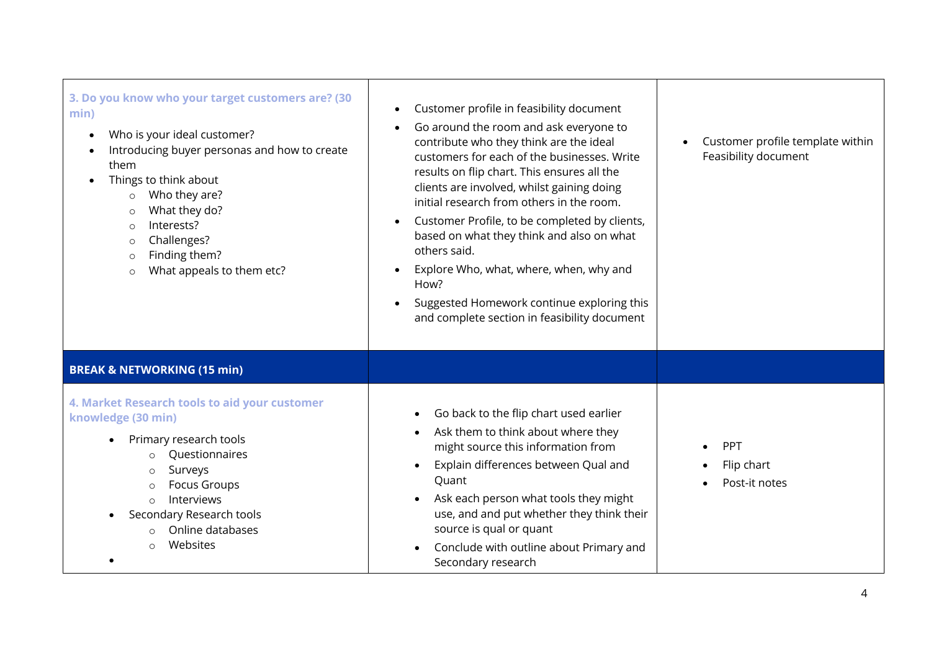| 3. Do you know who your target customers are? (30<br>min)<br>Who is your ideal customer?<br>$\bullet$<br>Introducing buyer personas and how to create<br>them<br>Things to think about<br>Who they are?<br>$\circ$<br>What they do?<br>$\circ$<br>Interests?<br>$\circ$<br>Challenges?<br>$\circ$<br>Finding them?<br>$\circ$<br>What appeals to them etc?<br>$\circ$ | Customer profile in feasibility document<br>Go around the room and ask everyone to<br>contribute who they think are the ideal<br>customers for each of the businesses. Write<br>results on flip chart. This ensures all the<br>clients are involved, whilst gaining doing<br>initial research from others in the room.<br>Customer Profile, to be completed by clients,<br>$\bullet$<br>based on what they think and also on what<br>others said.<br>Explore Who, what, where, when, why and<br>How?<br>Suggested Homework continue exploring this<br>$\bullet$<br>and complete section in feasibility document | Customer profile template within<br>$\bullet$<br>Feasibility document |
|-----------------------------------------------------------------------------------------------------------------------------------------------------------------------------------------------------------------------------------------------------------------------------------------------------------------------------------------------------------------------|-----------------------------------------------------------------------------------------------------------------------------------------------------------------------------------------------------------------------------------------------------------------------------------------------------------------------------------------------------------------------------------------------------------------------------------------------------------------------------------------------------------------------------------------------------------------------------------------------------------------|-----------------------------------------------------------------------|
| <b>BREAK &amp; NETWORKING (15 min)</b>                                                                                                                                                                                                                                                                                                                                |                                                                                                                                                                                                                                                                                                                                                                                                                                                                                                                                                                                                                 |                                                                       |
| 4. Market Research tools to aid your customer<br>knowledge (30 min)<br>Primary research tools<br>Questionnaires<br>$\Omega$<br>Surveys<br><b>Focus Groups</b><br>$\circ$<br>Interviews<br>$\circ$<br>Secondary Research tools<br>Online databases<br>Websites<br>$\circ$                                                                                              | Go back to the flip chart used earlier<br>Ask them to think about where they<br>might source this information from<br>Explain differences between Qual and<br>Quant<br>Ask each person what tools they might<br>use, and and put whether they think their<br>source is qual or quant<br>Conclude with outline about Primary and<br>Secondary research                                                                                                                                                                                                                                                           | PPT<br>Flip chart<br>Post-it notes                                    |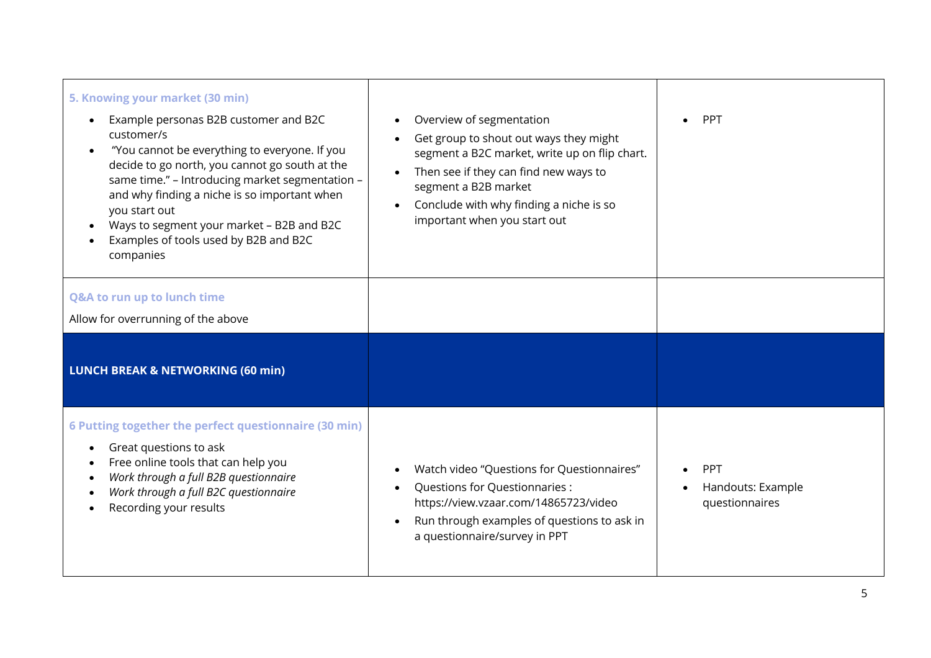| 5. Knowing your market (30 min)<br>Example personas B2B customer and B2C<br>$\bullet$<br>customer/s<br>"You cannot be everything to everyone. If you<br>decide to go north, you cannot go south at the<br>same time." - Introducing market segmentation -<br>and why finding a niche is so important when<br>you start out<br>Ways to segment your market - B2B and B2C<br>Examples of tools used by B2B and B2C<br>companies | Overview of segmentation<br>Get group to shout out ways they might<br>segment a B2C market, write up on flip chart.<br>Then see if they can find new ways to<br>$\bullet$<br>segment a B2B market<br>Conclude with why finding a niche is so<br>important when you start out | <b>PPT</b>                                 |
|-------------------------------------------------------------------------------------------------------------------------------------------------------------------------------------------------------------------------------------------------------------------------------------------------------------------------------------------------------------------------------------------------------------------------------|------------------------------------------------------------------------------------------------------------------------------------------------------------------------------------------------------------------------------------------------------------------------------|--------------------------------------------|
| Q&A to run up to lunch time<br>Allow for overrunning of the above<br><b>LUNCH BREAK &amp; NETWORKING (60 min)</b>                                                                                                                                                                                                                                                                                                             |                                                                                                                                                                                                                                                                              |                                            |
| 6 Putting together the perfect questionnaire (30 min)<br>Great questions to ask<br>Free online tools that can help you<br>Work through a full B2B questionnaire<br>Work through a full B2C questionnaire<br>Recording your results                                                                                                                                                                                            | Watch video "Questions for Questionnaires"<br>Questions for Questionnaries :<br>https://view.vzaar.com/14865723/video<br>Run through examples of questions to ask in<br>a questionnaire/survey in PPT                                                                        | PPT<br>Handouts: Example<br>questionnaires |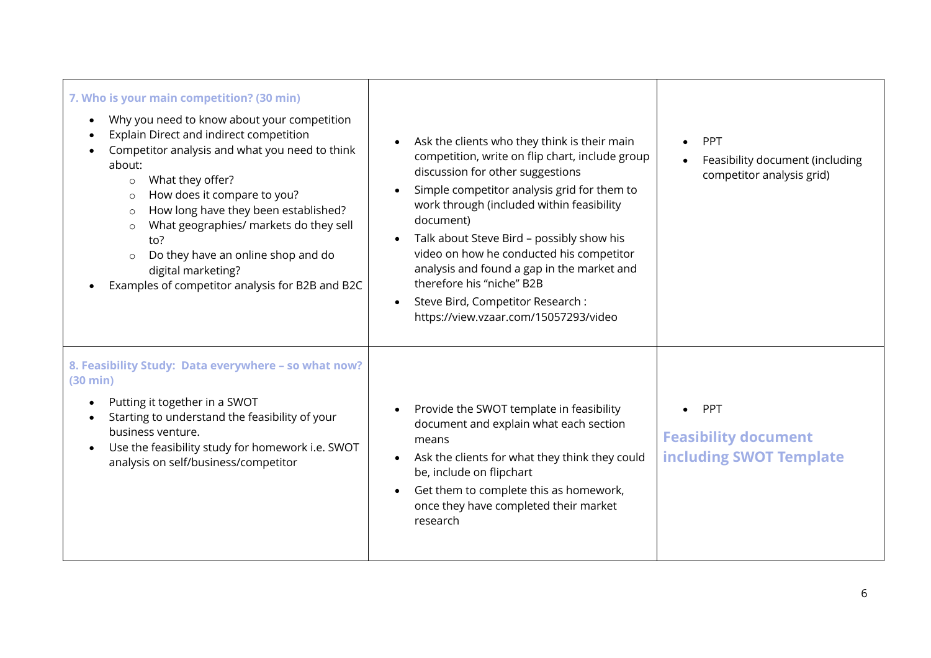| 7. Who is your main competition? (30 min)<br>Why you need to know about your competition<br>$\bullet$<br>Explain Direct and indirect competition<br>Competitor analysis and what you need to think<br>about:<br>What they offer?<br>$\circ$<br>How does it compare to you?<br>$\circ$<br>How long have they been established?<br>$\circ$<br>What geographies/ markets do they sell<br>$\circ$<br>to?<br>Do they have an online shop and do<br>$\circ$<br>digital marketing?<br>Examples of competitor analysis for B2B and B2C | Ask the clients who they think is their main<br>competition, write on flip chart, include group<br>discussion for other suggestions<br>Simple competitor analysis grid for them to<br>work through (included within feasibility<br>document)<br>Talk about Steve Bird - possibly show his<br>video on how he conducted his competitor<br>analysis and found a gap in the market and<br>therefore his "niche" B2B<br>Steve Bird, Competitor Research :<br>https://view.vzaar.com/15057293/video | PPT<br>Feasibility document (including<br>competitor analysis grid) |
|--------------------------------------------------------------------------------------------------------------------------------------------------------------------------------------------------------------------------------------------------------------------------------------------------------------------------------------------------------------------------------------------------------------------------------------------------------------------------------------------------------------------------------|------------------------------------------------------------------------------------------------------------------------------------------------------------------------------------------------------------------------------------------------------------------------------------------------------------------------------------------------------------------------------------------------------------------------------------------------------------------------------------------------|---------------------------------------------------------------------|
| 8. Feasibility Study: Data everywhere - so what now?<br>(30 min)<br>Putting it together in a SWOT<br>Starting to understand the feasibility of your<br>business venture.<br>Use the feasibility study for homework i.e. SWOT<br>$\bullet$<br>analysis on self/business/competitor                                                                                                                                                                                                                                              | Provide the SWOT template in feasibility<br>document and explain what each section<br>means<br>Ask the clients for what they think they could<br>be, include on flipchart<br>Get them to complete this as homework,<br>once they have completed their market<br>research                                                                                                                                                                                                                       | PPT<br><b>Feasibility document</b><br>including SWOT Template       |